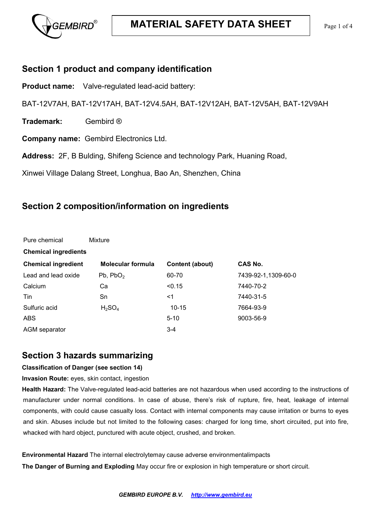

#### **Section 1 product and company identification**

**Product name:** Valve-regulated lead-acid battery:

BAT-12V7AH, BAT-12V17AH, BAT-12V4.5AH, BAT-12V12AH, BAT-12V5AH, BAT-12V9AH

**Trademark:** Gembird ®

Pure chemical Mixture

**Company name:** Gembird Electronics Ltd.

**Address:** 2F, B Bulding, Shifeng Science and technology Park, Huaning Road,

Xinwei Village Dalang Street, Longhua, Bao An, Shenzhen, China

### **Section 2 composition/information on ingredients**

| ווטטווט שוני                | 1                              |                 |                     |  |
|-----------------------------|--------------------------------|-----------------|---------------------|--|
| <b>Chemical ingredients</b> |                                |                 |                     |  |
| <b>Chemical ingredient</b>  | <b>Molecular formula</b>       | Content (about) | CAS No.             |  |
| Lead and lead oxide         | Pb, PbO <sub>2</sub>           | 60-70           | 7439-92-1,1309-60-0 |  |
| Calcium                     | Ca                             | < 0.15          | 7440-70-2           |  |
| Tin                         | Sn                             | <1              | 7440-31-5           |  |
| Sulfuric acid               | H <sub>2</sub> SO <sub>4</sub> | $10 - 15$       | 7664-93-9           |  |
| <b>ABS</b>                  |                                | $5 - 10$        | 9003-56-9           |  |
| AGM separator               |                                | $3 - 4$         |                     |  |

#### **Section 3 hazards summarizing**

#### **Classification of Danger (see section 14)**

**Invasion Route:** eyes, skin contact, ingestion

**Health Hazard:** The Valve-regulated lead-acid batteries are not hazardous when used according to the instructions of manufacturer under normal conditions. In case of abuse, there's risk of rupture, fire, heat, leakage of internal components, with could cause casualty loss. Contact with internal components may cause irritation or burns to eyes and skin. Abuses include but not limited to the following cases: charged for long time, short circuited, put into fire, whacked with hard object, punctured with acute object, crushed, and broken.

**Environmental Hazard** The internal electrolytemay cause adverse environmentalimpacts

**The Danger of Burning and Exploding** May occur fire or explosion in high temperature or short circuit.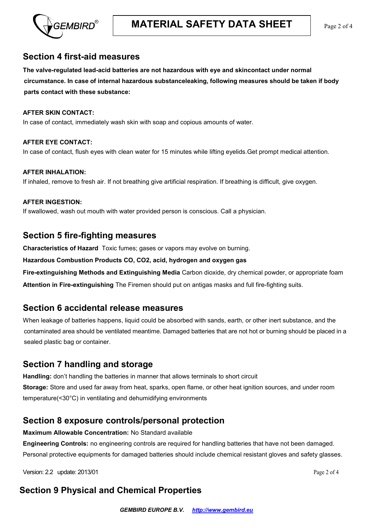

#### **Section 4 first-aid measures**

**The valve-regulated lead-acid batteries are not hazardous with eye and skincontact under normal circumstance. In case of internal hazardous substanceleaking, following measures should be taken if body parts contact with these substance:**

#### **AFTER SKIN CONTACT:**

In case of contact, immediately wash skin with soap and copious amounts of water.

#### **AFTER EYE CONTACT:** In case of contact, flush eyes with clean water for 15 minutes while lifting eyelids.Get prompt medical attention.

**AFTER INHALATION:** If inhaled, remove to fresh air. If not breathing give artificial respiration. If breathing is difficult, give oxygen.

#### **AFTER INGESTION:**

If swallowed, wash out mouth with water provided person is conscious. Call a physician.

#### **Section 5 fire-fighting measures**

**Characteristics of Hazard** Toxic fumes; gases or vapors may evolve on burning.

**Hazardous Combustion Products CO, CO2, acid, hydrogen and oxygen gas**

**Fire-extinguishing Methods and Extinguishing Media** Carbon dioxide, dry chemical powder, or appropriate foam

**Attention in Fire-extinguishing** The Firemen should put on antigas masks and full fire-fighting suits.

#### **Section 6 accidental release measures**

When leakage of batteries happens, liquid could be absorbed with sands, earth, or other inert substance, and the contaminated area should be ventilated meantime. Damaged batteries that are not hot or burning should be placed in a sealed plastic bag or container.

#### **Section 7 handling and storage**

**Handling:** don't handling the batteries in manner that allows terminals to short circuit **Storage:** Store and used far away from heat, sparks, open flame, or other heat ignition sources, and under room temperature(<30°C) in ventilating and dehumidifying environments

#### **Section 8 exposure controls/personal protection**

**Maximum Allowable Concentration:** No Standard available

**Engineering Controls:** no engineering controls are required for handling batteries that have not been damaged. Personal protective equipments for damaged batteries should include chemical resistant gloves and safety glasses.

Version: 2.2 update: 2013/01 Page 2 of 4

# **Section 9 Physical and Chemical Properties**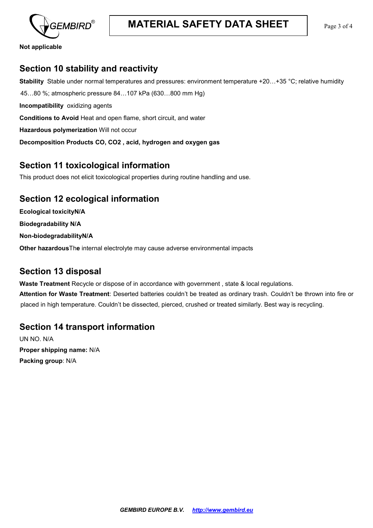

**Not applicable**

# **Section 10 stability and reactivity**

**Stability** Stable under normal temperatures and pressures: environment temperature +20…+35 °С; relative humidity 45…80 %; atmospheric pressure 84…107 kPa (630…800 mm Hg) **Incompatibility** oxidizing agents **Conditions to Avoid** Heat and open flame, short circuit, and water **Hazardous polymerization** Will not occur **Decomposition Products CO, CO2 , acid, hydrogen and oxygen gas**

## **Section 11 toxicological information**

This product does not elicit toxicological properties during routine handling and use.

## **Section 12 ecological information**

**Ecological toxicityN/A**

**Biodegradability N/A**

**Non-biodegradabilityN/A**

**Other hazardous**Th**e** internal electrolyte may cause adverse environmental impacts

# **Section 13 disposal**

**Waste Treatment** Recycle or dispose of in accordance with government , state & local regulations.

**Attention for Waste Treatment**: Deserted batteries couldn't be treated as ordinary trash. Couldn't be thrown into fire or placed in high temperature. Couldn't be dissected, pierced, crushed or treated similarly. Best way is recycling.

# **Section 14 transport information**

UN NO. N/A **Proper shipping name:** N/A **Packing group**: N/A